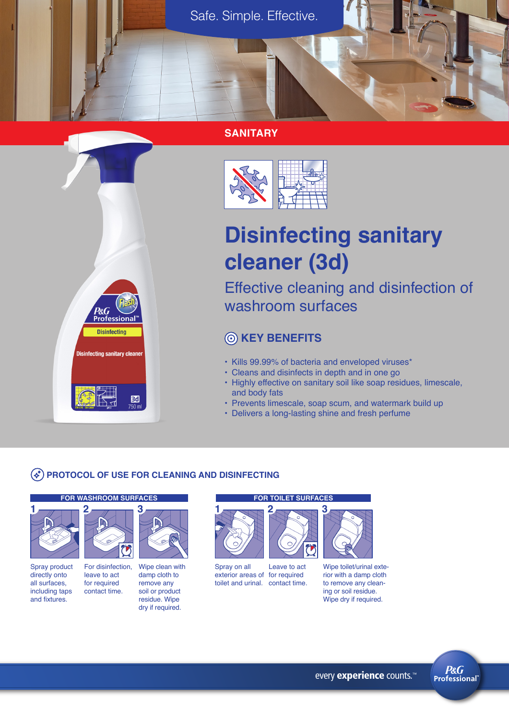

#### **SANITARY**



# **Disinfecting sanitary cleaner (3d)**

Effective cleaning and disinfection of washroom surfaces

# **KEY BENEFITS**

- Kills 99.99% of bacteria and enveloped viruses\*
- Cleans and disinfects in depth and in one go
- Highly effective on sanitary soil like soap residues, limescale, and body fats
- Prevents limescale, soap scum, and watermark build up
- Delivers a long-lasting shine and fresh perfume

#### **PROTOCOL OF USE FOR CLEANING AND DISINFECTING**

#### **FOR WASHROOM SURFACES FOR TOILET SURFACES**

P&G

**Disinfecting** 

**Disinfecting sanitary cleaner** 

Bd

leave to act

**2**



Spray product directly onto all surfaces, including taps for required contact time.

and fixtures.



Wipe clean with damp cloth to remove any soil or product residue. Wipe dry if required. For disinfection,



Spray on all exterior areas of for required toilet and urinal. contact time. Leave to act